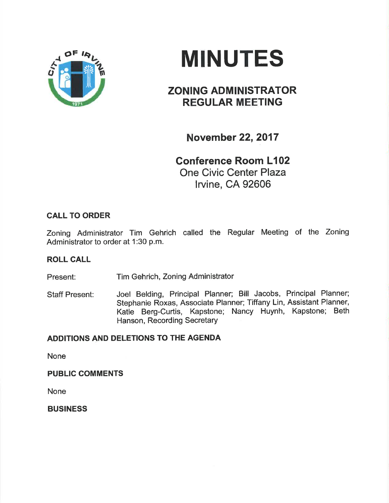

# MINUTES

## ZONING ADMINISTRATOR REGULAR MEETING

November 22,2017

Gonference Room L102 One Civic Center Plaza

lrvine, CA 92606

### CALL TO ORDER

Zoning Administrator Tim Gehrich called the Regular Meeting of the Zoning Administrator to order at 1:30 p.m.

### ROLL CALL

Present: Tim Gehrich, Zoning Administrator

Staff Present: Joel Belding, Principal Planner; Bill Jacobs, Principal Planner; Stephanie Roxas, Associate Planner; Tiffany Lin, Assistant Planner, Katie Berg-Curtis, Kapstone; Nancy Huynh, Kapstone; Beth Hanson, Recording Secretary

### ADDITIONS AND DELETIONS TO THE AGENDA

None

PUBLIC COMMENTS

None

BUSINESS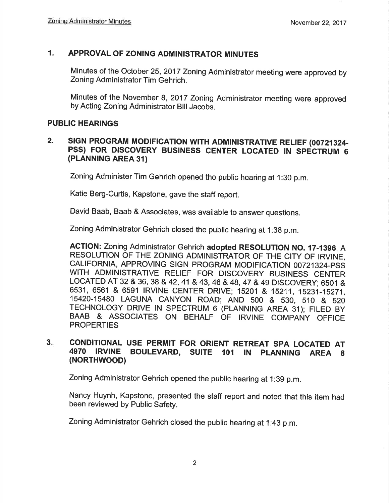### 1. APPROVAL OF ZONING ADMINISTRATOR MINUTES

Minutes of the October 25,2017 Zoning Administrator meeting were approved by Zoning Administrator Tim Gehrich.

Minutes of the November 8,2017 Zoning Administrator meeting were approved by Acting Zoning Administrator Bill Jacobs.

#### PUBLIC HEARINGS

#### 2. SIGN PROGRAM MODIFICATION WITH ADMINISTRATIVE RELIEF (00721324-PSS) FOR DISCOVERY BUSINESS CENTER LOCATED IN SPECTRUM <sup>6</sup> (PLANNING AREA 31)

Zoning Administer Tim Gehrich opened the public hearing at 1:30 p.m.

Katie Berg-Curtis, Kapstone, gave the staff report.

David Baab, Baab & Associates, was available to answer questions.

Zoning Administrator Gehrich closed the public hearing at 1:38 p.m.

ACTION: Zoning Administrator Gehrich adopted RESOLUTION NO. 17-1396, A RESOLUTION OF THE ZONING ADMINISTRATOR OF THE CITY OF IRVINE, CALIFORNIA, APPROVING SIGN PROGRAM MODIFICATION 00721324-PSS WITH ADMINISTRATIVE RELIEF FOR DISCOVERY BUSINESS CENTER LOCATED AT 32 & 36, 38 & 42, 41 & 43, 46 & 48, 47 & 49 DISCOVERY; 6501 & 6531, 6561 & 6591 IRVINE CENTER DRIVE; 15201 & 15211, 15231-15271, 15420-15480 LAGUNA cANYoN ROAD; AND 500 & s30, s10 & s2o TECHNOLOGY DRIVE IN SPECTRUM 6 (PLANNING AREA 31); FILED BY BAAB & ASSOCIATES ON BEHALF OF IRVINE COMPANY OFFICE **PROPERTIES** 

#### CONDITIONAL USE PERMIT FOR ORIENT RETREAT SPA LOCATED AT 4970 IRVINE BOULEVARD, SUITE 101 IN PLANNING AREA 8 (NORTHWOOD)  $3<sub>1</sub>$

Zoning Administrator Gehrich opened the public hearing at 1:3g p.m.

Nancy Huynh, Kapstone, presented the staff report and noted that this item had been reviewed by Public Safety.

Zoning Administrator Gehrich closed the public hearing at 1:43 p,m.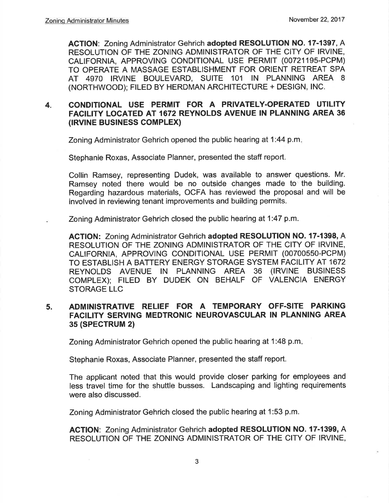ACTION: Zoning Administrator Gehrich adopted RESOLUTION NO. 17-1397, A RESOLUTION OF THE ZONING ADMINISTRATOR OF THE CITY OF IRVINE. CALIFORNIA, APPROVING CONDITIONAL USE PERMIT (007211gs-PCPM) TO OPERATE A MASSAGE ESTABLISHMENT FOR ORIENT RETREAT SPA AT 4970 IRVINE BOULEVARD, SUITE 101 IN PLANNING AREA <sup>8</sup> (NORTHWOOD); FILED BY HERDMAN ARCHITECTURE + DESIGN, INC.

#### 4. CONDITIONAL USE PERMIT FOR A PRIVATELY-OPERATED UTILITY FACILITY LOCATED AT 1672 REYNOLDS AVENUE IN PLANNING AREA 36 (IRVINE BUSINESS COMPLEX)

Zoning Administrator Gehrich opened the public hearing at 1:44 p.m

Stephanie Roxas, Associate Planner, presented the staff report.

Collin Ramsey, representing Dudek, was available to answer questions. Mr. Ramsey noted there would be no outside changes made to the building. Regarding hazardous materials, OCFA has reviewed the proposal and will be involved in reviewing tenant improvements and building permits.

Zoning Administrator Gehrich closed the public hearing at 1:47 p.m.

ACTION: Zoning Administrator Gehrich adopted RESOLUTION NO. 17-1398, A RESOLUTION OF THE ZONING ADMINISTRATOR OF THE CITY OF IRVINE, CAL|FORNIA, APPROVING CONDITIONAL USE PERMIT (00700550-PCPM) TO ESTABLISH A BATTERY ENERGY STORAGE SYSTEM FACILITY AT 1672 REYNOLDS AVENUE IN PLANNING AREA 36 (IRVINE BUSINESS COMPLEX); FILED BY DUDEK ON BEHALF OF VALENCIA ENERGY STORAGE LLC

#### 5. ADMINISTRATIVE RELIEF FOR A TEMPORARY OFF.SITE PARKING FACILITY SERVING MEDTRONIC NEUROVASCULAR IN PLANNING AREA 35 (SPECTRUM 2)

Zoning Administrator Gehrich opened the public hearing at 1:48 p.m

Stephanie Roxas, Associate Planner, presented the staff report.

The applicant noted that this would provide closer parking for employees and less travel time for the shuttle busses. Landscaping and lighting requirements were also discussed.

Zoning Administrator Gehrich closed the public hearing at 1:53 p.m.

ACTION: Zoning Administrator Gehrich adopted RESOLUTION NO. 17-1399, A RESOLUTION OF THE ZONING ADMINISTRATOR OF THE CITY OF IRVINE,